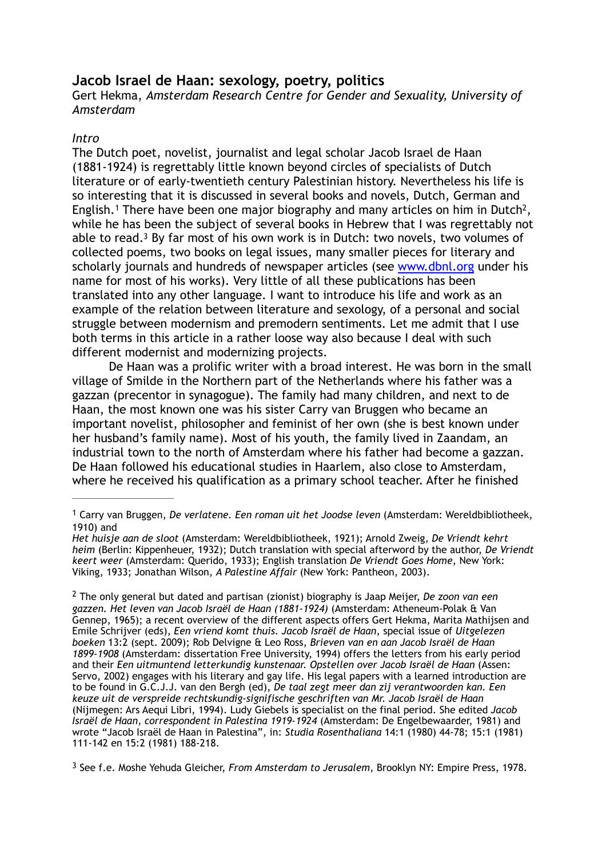# **Jacob Israel de Haan: sexology, poetry, politics**

Gert Hekma, *Amsterdam Research Centre for Gender and Sexuality, University of Amsterdam*

# *Intro*

<span id="page-0-5"></span><span id="page-0-4"></span><span id="page-0-3"></span>The Dutch poet, novelist, journalist and legal scholar Jacob Israel de Haan (1881-1924) is regrettably little known beyond circles of specialists of Dutch literature or of early-twentieth century Palestinian history. Nevertheless his life is so interesting that it is discussed in several books and novels, Dutch, German and English.<sup>1</sup>There have been one major biography and many articles on him in Dutch<sup>2</sup>, while he has been the subject of several books in Hebrew that I was regrettably not able to read[.](#page-0-2)<sup>[3](#page-0-2)</sup> By far most of his own work is in Dutch: two novels, two volumes of collected poems, two books on legal issues, many smaller pieces for literary and scholarly journals and hundreds of newspaper articles (see [www.dbnl.org](http://www.dbnl.org) under his name for most of his works). Very little of all these publications has been translated into any other language. I want to introduce his life and work as an example of the relation between literature and sexology, of a personal and social struggle between modernism and premodern sentiments. Let me admit that I use both terms in this article in a rather loose way also because I deal with such different modernist and modernizing projects.

De Haan was a prolific writer with a broad interest. He was born in the small village of Smilde in the Northern part of the Netherlands where his father was a gazzan (precentor in synagogue). The family had many children, and next to de Haan, the most known one was his sister Carry van Bruggen who became an important novelist, philosopher and feminist of her own (she is best known under her husband's family name). Most of his youth, the family lived in Zaandam, an industrial town to the north of Amsterdam where his father had become a gazzan. De Haan followed his educational studies in Haarlem, also close to Amsterdam, where he received his qualification as a primary school teacher. After he finished

<span id="page-0-2"></span>See f.e. Moshe Yehuda Gleicher, *From Amsterdam to Jerusalem*, Brooklyn NY: Empire Press, 1978. [3](#page-0-5)

<span id="page-0-0"></span>Carry van Bruggen, *De verlatene. Een roman uit het Joodse leven* (Amsterdam: Wereldbibliotheek, [1](#page-0-3) 1910) and

*Het huisje aan de sloot* (Amsterdam: Wereldbibliotheek, 1921); Arnold Zweig, *De Vriendt kehrt heim* (Berlin: Kippenheuer, 1932); Dutch translation with special afterword by the author, *De Vriendt keert weer* (Amsterdam: Querido, 1933); English translation *De Vriendt Goes Home*, New York: Viking, 1933; Jonathan Wilson, *A Palestine Affair* (New York: Pantheon, 2003).

<span id="page-0-1"></span>The only general but dated and partisan (zionist) biography is Jaap Meijer, *De zoon van een* [2](#page-0-4) *gazzen. Het leven van Jacob Israël de Haan (1881-1924)* (Amsterdam: Atheneum-Polak & Van Gennep, 1965); a recent overview of the different aspects offers Gert Hekma, Marita Mathijsen and Emile Schrijver (eds), *Een vriend komt thuis. Jacob Israël de Haan*, special issue of *Uitgelezen boeken* 13:2 (sept. 2009); Rob Delvigne & Leo Ross, *Brieven van en aan Jacob Israël de Haan 1899-1908* (Amsterdam: dissertation Free University, 1994) offers the letters from his early period and their *Een uitmuntend letterkundig kunstenaar. Opstellen over Jacob Israël de Haan* (Assen: Servo, 2002) engages with his literary and gay life. His legal papers with a learned introduction are to be found in G.C.J.J. van den Bergh (ed), *De taal zegt meer dan zij verantwoorden kan. Een keuze uit de verspreide rechtskundig-signifische geschriften van Mr. Jacob Israël de Haan* (Nijmegen: Ars Aequi Libri, 1994). Ludy Giebels is specialist on the final period. She edited *Jacob Israël de Haan, correspondent in Palestina 1919-1924* (Amsterdam: De Engelbewaarder, 1981) and wrote "Jacob Israël de Haan in Palestina", in: *Studia Rosenthaliana* 14:1 (1980) 44-78; 15:1 (1981) 111-142 en 15:2 (1981) 188-218.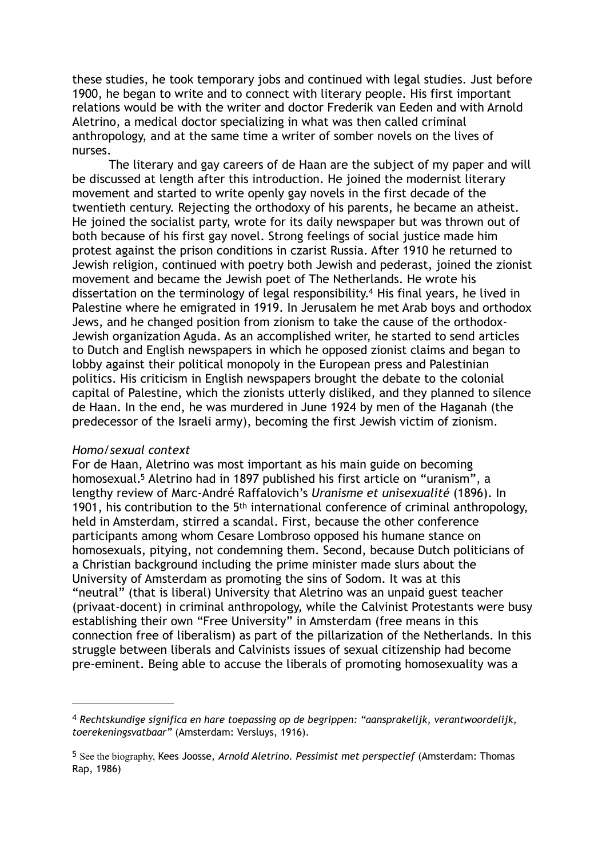these studies, he took temporary jobs and continued with legal studies. Just before 1900, he began to write and to connect with literary people. His first important relations would be with the writer and doctor Frederik van Eeden and with Arnold Aletrino, a medical doctor specializing in what was then called criminal anthropology, and at the same time a writer of somber novels on the lives of nurses.

<span id="page-1-2"></span>The literary and gay careers of de Haan are the subject of my paper and will be discussed at length after this introduction. He joined the modernist literary movement and started to write openly gay novels in the first decade of the twentieth century. Rejecting the orthodoxy of his parents, he became an atheist. He joined the socialist party, wrote for its daily newspaper but was thrown out of both because of his first gay novel. Strong feelings of social justice made him protest against the prison conditions in czarist Russia. After 1910 he returned to Jewish religion, continued with poetry both Jewish and pederast, joined the zionist movement and became the Jewish poet of The Netherlands. He wrote his dissertation on the terminology of legal responsibility.<sup>[4](#page-1-0)</sup> His final years, he lived in Palestine where he emigrated in 1919. In Jerusalem he met Arab boys and orthodox Jews, and he changed position from zionism to take the cause of the orthodox-Jewish organization Aguda. As an accomplished writer, he started to send articles to Dutch and English newspapers in which he opposed zionist claims and began to lobby against their political monopoly in the European press and Palestinian politics. His criticism in English newspapers brought the debate to the colonial capital of Palestine, which the zionists utterly disliked, and they planned to silence de Haan. In the end, he was murdered in June 1924 by men of the Haganah (the predecessor of the Israeli army), becoming the first Jewish victim of zionism.

### *Homo/sexual context*

<span id="page-1-3"></span>For de Haan, Aletrino was most important as his main guide on becoming homosexual.<sup>[5](#page-1-1)</sup> Aletrino had in 1897 published his first article on "uranism", a lengthy review of Marc-André Raffalovich's *Uranisme et unisexualité* (1896). In 1901, his contribution to the 5th international conference of criminal anthropology, held in Amsterdam, stirred a scandal. First, because the other conference participants among whom Cesare Lombroso opposed his humane stance on homosexuals, pitying, not condemning them. Second, because Dutch politicians of a Christian background including the prime minister made slurs about the University of Amsterdam as promoting the sins of Sodom. It was at this "neutral" (that is liberal) University that Aletrino was an unpaid guest teacher (privaat-docent) in criminal anthropology, while the Calvinist Protestants were busy establishing their own "Free University" in Amsterdam (free means in this connection free of liberalism) as part of the pillarization of the Netherlands. In this struggle between liberals and Calvinists issues of sexual citizenship had become pre-eminent. Being able to accuse the liberals of promoting homosexuality was a

<span id="page-1-0"></span>*Rechtskundige significa en hare toepassing op de begrippen: "aansprakelijk, verantwoordelijk,* [4](#page-1-2) *toerekeningsvatbaar"* (Amsterdam: Versluys, 1916).

<span id="page-1-1"></span><sup>&</sup>lt;sup>[5](#page-1-3)</sup> See the biography, Kees Joosse, *Arnold Aletrino. Pessimist met perspectief* (Amsterdam: Thomas Rap, 1986)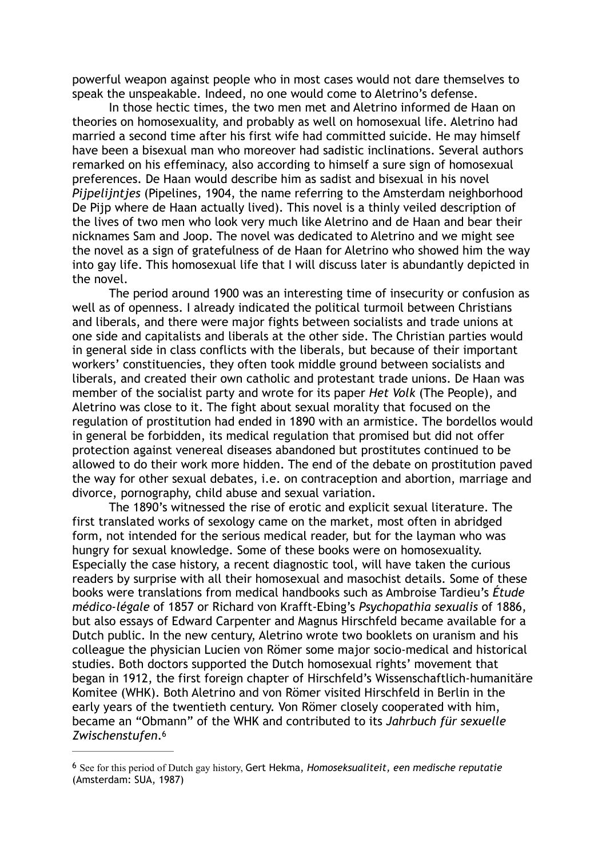powerful weapon against people who in most cases would not dare themselves to speak the unspeakable. Indeed, no one would come to Aletrino's defense.

In those hectic times, the two men met and Aletrino informed de Haan on theories on homosexuality, and probably as well on homosexual life. Aletrino had married a second time after his first wife had committed suicide. He may himself have been a bisexual man who moreover had sadistic inclinations. Several authors remarked on his effeminacy, also according to himself a sure sign of homosexual preferences. De Haan would describe him as sadist and bisexual in his novel *Pijpelijntjes* (Pipelines, 1904, the name referring to the Amsterdam neighborhood De Pijp where de Haan actually lived). This novel is a thinly veiled description of the lives of two men who look very much like Aletrino and de Haan and bear their nicknames Sam and Joop. The novel was dedicated to Aletrino and we might see the novel as a sign of gratefulness of de Haan for Aletrino who showed him the way into gay life. This homosexual life that I will discuss later is abundantly depicted in the novel.

The period around 1900 was an interesting time of insecurity or confusion as well as of openness. I already indicated the political turmoil between Christians and liberals, and there were major fights between socialists and trade unions at one side and capitalists and liberals at the other side. The Christian parties would in general side in class conflicts with the liberals, but because of their important workers' constituencies, they often took middle ground between socialists and liberals, and created their own catholic and protestant trade unions. De Haan was member of the socialist party and wrote for its paper *Het Volk* (The People), and Aletrino was close to it. The fight about sexual morality that focused on the regulation of prostitution had ended in 1890 with an armistice. The bordellos would in general be forbidden, its medical regulation that promised but did not offer protection against venereal diseases abandoned but prostitutes continued to be allowed to do their work more hidden. The end of the debate on prostitution paved the way for other sexual debates, i.e. on contraception and abortion, marriage and divorce, pornography, child abuse and sexual variation.

The 1890's witnessed the rise of erotic and explicit sexual literature. The first translated works of sexology came on the market, most often in abridged form, not intended for the serious medical reader, but for the layman who was hungry for sexual knowledge. Some of these books were on homosexuality. Especially the case history, a recent diagnostic tool, will have taken the curious readers by surprise with all their homosexual and masochist details. Some of these books were translations from medical handbooks such as Ambroise Tardieu's *Étude médico-légale* of 1857 or Richard von Krafft-Ebing's *Psychopathia sexualis* of 1886, but also essays of Edward Carpenter and Magnus Hirschfeld became available for a Dutch public. In the new century, Aletrino wrote two booklets on uranism and his colleague the physician Lucien von Römer some major socio-medical and historical studies. Both doctors supported the Dutch homosexual rights' movement that began in 1912, the first foreign chapter of Hirschfeld's Wissenschaftlich-humanitäre Komitee (WHK). Both Aletrino and von Römer visited Hirschfeld in Berlin in the early years of the twentieth century. Von Römer closely cooperated with him, became an "Obmann" of the WHK and contributed to its *Jahrbuch für sexuelle Zwischenstufen*[.6](#page-2-0)

<span id="page-2-1"></span><span id="page-2-0"></span>See for this period of Dutch gay history, Gert Hekma, *Homoseksualiteit, een medische reputatie* [6](#page-2-1) (Amsterdam: SUA, 1987)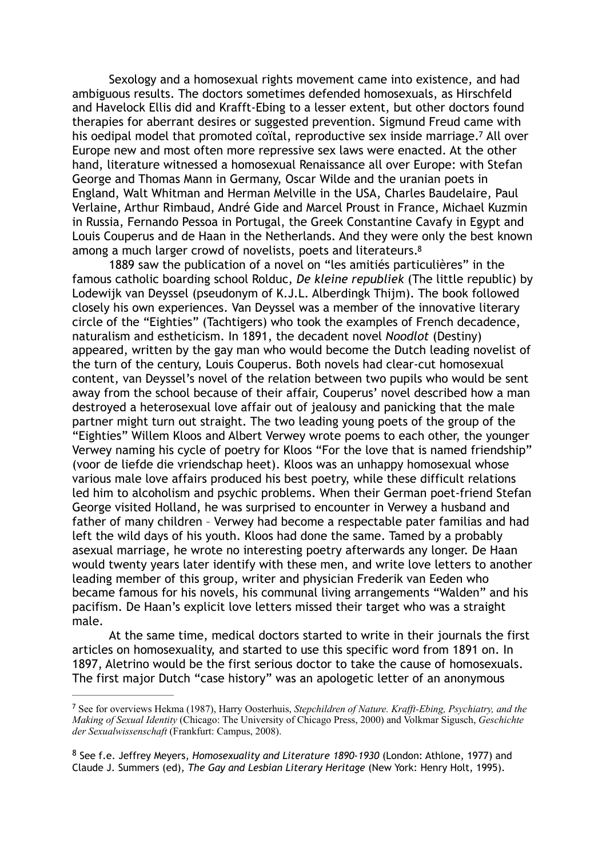<span id="page-3-2"></span> Sexology and a homosexual rights movement came into existence, and had ambiguous results. The doctors sometimes defended homosexuals, as Hirschfeld and Havelock Ellis did and Krafft-Ebing to a lesser extent, but other doctors found therapies for aberrant desires or suggested prevention. Sigmund Freud came with his oedipal model that promoted coïtal, reproductive sex inside marriage.<sup>[7](#page-3-0)</sup> All over Europe new and most often more repressive sex laws were enacted. At the other hand, literature witnessed a homosexual Renaissance all over Europe: with Stefan George and Thomas Mann in Germany, Oscar Wilde and the uranian poets in England, Walt Whitman and Herman Melville in the USA, Charles Baudelaire, Paul Verlaine, Arthur Rimbaud, André Gide and Marcel Proust in France, Michael Kuzmin in Russia, Fernando Pessoa in Portugal, the Greek Constantine Cavafy in Egypt and Louis Couperus and de Haan in the Netherlands. And they were only the best known among a much larger crowd of novelists, poets and literateurs.<sup>8</sup>

<span id="page-3-3"></span>1889 saw the publication of a novel on "les amitiés particulières" in the famous catholic boarding school Rolduc, *De kleine republiek* (The little republic) by Lodewijk van Deyssel (pseudonym of K.J.L. Alberdingk Thijm). The book followed closely his own experiences. Van Deyssel was a member of the innovative literary circle of the "Eighties" (Tachtigers) who took the examples of French decadence, naturalism and estheticism. In 1891, the decadent novel *Noodlot* (Destiny) appeared, written by the gay man who would become the Dutch leading novelist of the turn of the century, Louis Couperus. Both novels had clear-cut homosexual content, van Deyssel's novel of the relation between two pupils who would be sent away from the school because of their affair, Couperus' novel described how a man destroyed a heterosexual love affair out of jealousy and panicking that the male partner might turn out straight. The two leading young poets of the group of the "Eighties" Willem Kloos and Albert Verwey wrote poems to each other, the younger Verwey naming his cycle of poetry for Kloos "For the love that is named friendship" (voor de liefde die vriendschap heet). Kloos was an unhappy homosexual whose various male love affairs produced his best poetry, while these difficult relations led him to alcoholism and psychic problems. When their German poet-friend Stefan George visited Holland, he was surprised to encounter in Verwey a husband and father of many children – Verwey had become a respectable pater familias and had left the wild days of his youth. Kloos had done the same. Tamed by a probably asexual marriage, he wrote no interesting poetry afterwards any longer. De Haan would twenty years later identify with these men, and write love letters to another leading member of this group, writer and physician Frederik van Eeden who became famous for his novels, his communal living arrangements "Walden" and his pacifism. De Haan's explicit love letters missed their target who was a straight male.

At the same time, medical doctors started to write in their journals the first articles on homosexuality, and started to use this specific word from 1891 on. In 1897, Aletrino would be the first serious doctor to take the cause of homosexuals. The first major Dutch "case history" was an apologetic letter of an anonymous

<span id="page-3-0"></span>See for overviews Hekma (1987), Harry Oosterhuis, *Stepchildren of Nature. Krafft-Ebing, Psychiatry, and the* [7](#page-3-2) *Making of Sexual Identity* (Chicago: The University of Chicago Press, 2000) and Volkmar Sigusch, *Geschichte der Sexualwissenschaft* (Frankfurt: Campus, 2008).

<span id="page-3-1"></span>See f.e. Jeffrey Meyers, *Homosexuality and Literature 1890-1930* (London: Athlone, 1977) and [8](#page-3-3) Claude J. Summers (ed), *The Gay and Lesbian Literary Heritage* (New York: Henry Holt, 1995).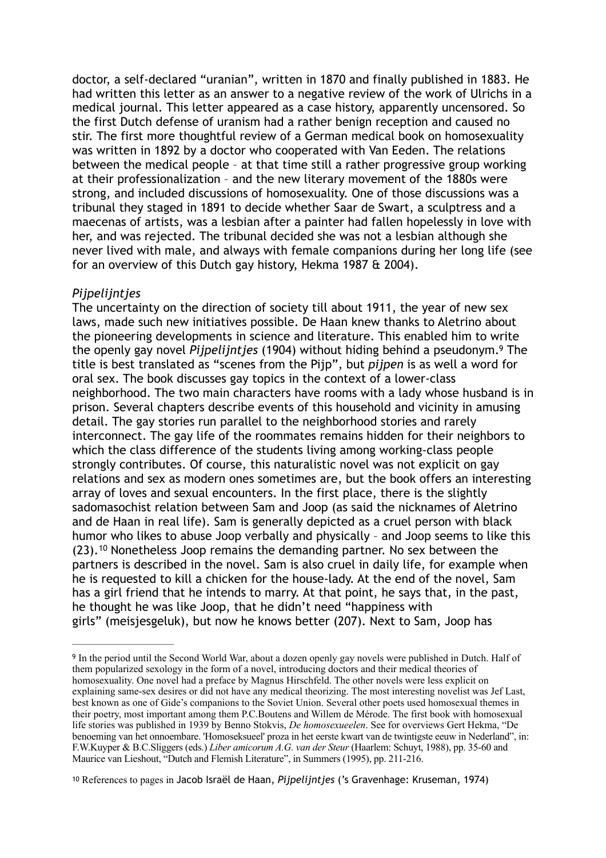doctor, a self-declared "uranian", written in 1870 and finally published in 1883. He had written this letter as an answer to a negative review of the work of Ulrichs in a medical journal. This letter appeared as a case history, apparently uncensored. So the first Dutch defense of uranism had a rather benign reception and caused no stir. The first more thoughtful review of a German medical book on homosexuality was written in 1892 by a doctor who cooperated with Van Eeden. The relations between the medical people – at that time still a rather progressive group working at their professionalization – and the new literary movement of the 1880s were strong, and included discussions of homosexuality. One of those discussions was a tribunal they staged in 1891 to decide whether Saar de Swart, a sculptress and a maecenas of artists, was a lesbian after a painter had fallen hopelessly in love with her, and was rejected. The tribunal decided she was not a lesbian although she never lived with male, and always with female companions during her long life (see for an overview of this Dutch gay history, Hekma 1987 & 2004).

## *Pijpelijntjes*

<span id="page-4-2"></span>The uncertainty on the direction of society till about 1911, the year of new sex laws, made such new initiatives possible. De Haan knew thanks to Aletrino about the pioneering developments in science and literature. This enabled him to write the openly gay novel *Pijpelijntjes* (1904) without hiding behind a pseudonym[.](#page-4-0) The [9](#page-4-0) title is best translated as "scenes from the Pijp", but *pijpen* is as well a word for oral sex. The book discusses gay topics in the context of a lower-class neighborhood. The two main characters have rooms with a lady whose husband is in prison. Several chapters describe events of this household and vicinity in amusing detail. The gay stories run parallel to the neighborhood stories and rarely interconnect. The gay life of the roommates remains hidden for their neighbors to which the class difference of the students living among working-class people strongly contributes. Of course, this naturalistic novel was not explicit on gay relations and sex as modern ones sometimes are, but the book offers an interesting array of loves and sexual encounters. In the first place, there is the slightly sadomasochist relation between Sam and Joop (as said the nicknames of Aletrino and de Haan in real life). Sam is generally depicted as a cruel person with black humor who likes to abuse Joop verbally and physically – and Joop seems to like this  $(23).<sup>10</sup>$  $(23).<sup>10</sup>$  $(23).<sup>10</sup>$  Nonetheless Joop remains the demanding partner. No sex between the partners is described in the novel. Sam is also cruel in daily life, for example when he is requested to kill a chicken for the house-lady. At the end of the novel, Sam has a girl friend that he intends to marry. At that point, he says that, in the past, he thought he was like Joop, that he didn't need "happiness with girls" (meisjesgeluk), but now he knows better (207). Next to Sam, Joop has

<span id="page-4-3"></span><span id="page-4-0"></span><sup>&</sup>lt;sup>[9](#page-4-2)</sup> In the period until the Second World War, about a dozen openly gay novels were published in Dutch. Half of them popularized sexology in the form of a novel, introducing doctors and their medical theories of homosexuality. One novel had a preface by Magnus Hirschfeld. The other novels were less explicit on explaining same-sex desires or did not have any medical theorizing. The most interesting novelist was Jef Last, best known as one of Gide's companions to the Soviet Union. Several other poets used homosexual themes in their poetry, most important among them P.C.Boutens and Willem de Mérode. The first book with homosexual life stories was published in 1939 by Benno Stokvis, *De homosexueelen*. See for overviews Gert Hekma, "De benoeming van het onnoembare. 'Homoseksueel' proza in het eerste kwart van de twintigste eeuw in Nederland", in: F.W.Kuyper & B.C.Sliggers (eds.) *Liber amicorum A.G. van der Steur* (Haarlem: Schuyt, 1988), pp. 35-60 and Maurice van Lieshout, "Dutch and Flemish Literature", in Summers (1995), pp. 211-216.

<span id="page-4-1"></span><sup>&</sup>lt;sup>[10](#page-4-3)</sup> References to pages in Jacob Israël de Haan, *Pijpelijntjes* ('s Gravenhage: Kruseman, 1974)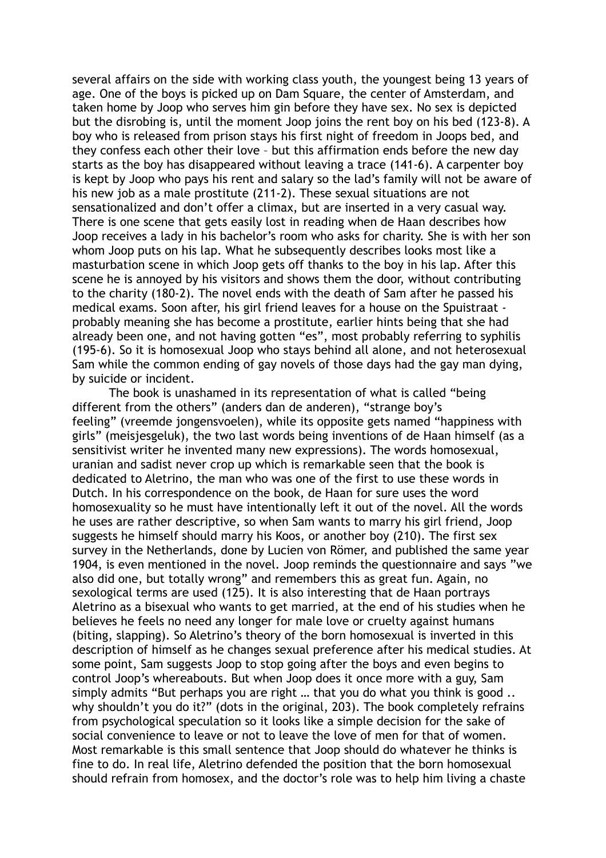several affairs on the side with working class youth, the youngest being 13 years of age. One of the boys is picked up on Dam Square, the center of Amsterdam, and taken home by Joop who serves him gin before they have sex. No sex is depicted but the disrobing is, until the moment Joop joins the rent boy on his bed (123-8). A boy who is released from prison stays his first night of freedom in Joops bed, and they confess each other their love – but this affirmation ends before the new day starts as the boy has disappeared without leaving a trace (141-6). A carpenter boy is kept by Joop who pays his rent and salary so the lad's family will not be aware of his new job as a male prostitute (211-2). These sexual situations are not sensationalized and don't offer a climax, but are inserted in a very casual way. There is one scene that gets easily lost in reading when de Haan describes how Joop receives a lady in his bachelor's room who asks for charity. She is with her son whom Joop puts on his lap. What he subsequently describes looks most like a masturbation scene in which Joop gets off thanks to the boy in his lap. After this scene he is annoyed by his visitors and shows them the door, without contributing to the charity (180-2). The novel ends with the death of Sam after he passed his medical exams. Soon after, his girl friend leaves for a house on the Spuistraat probably meaning she has become a prostitute, earlier hints being that she had already been one, and not having gotten "es", most probably referring to syphilis (195-6). So it is homosexual Joop who stays behind all alone, and not heterosexual Sam while the common ending of gay novels of those days had the gay man dying, by suicide or incident.

The book is unashamed in its representation of what is called "being different from the others" (anders dan de anderen), "strange boy's feeling" (vreemde jongensvoelen), while its opposite gets named "happiness with girls" (meisjesgeluk), the two last words being inventions of de Haan himself (as a sensitivist writer he invented many new expressions). The words homosexual, uranian and sadist never crop up which is remarkable seen that the book is dedicated to Aletrino, the man who was one of the first to use these words in Dutch. In his correspondence on the book, de Haan for sure uses the word homosexuality so he must have intentionally left it out of the novel. All the words he uses are rather descriptive, so when Sam wants to marry his girl friend, Joop suggests he himself should marry his Koos, or another boy (210). The first sex survey in the Netherlands, done by Lucien von Römer, and published the same year 1904, is even mentioned in the novel. Joop reminds the questionnaire and says "we also did one, but totally wrong" and remembers this as great fun. Again, no sexological terms are used (125). It is also interesting that de Haan portrays Aletrino as a bisexual who wants to get married, at the end of his studies when he believes he feels no need any longer for male love or cruelty against humans (biting, slapping). So Aletrino's theory of the born homosexual is inverted in this description of himself as he changes sexual preference after his medical studies. At some point, Sam suggests Joop to stop going after the boys and even begins to control Joop's whereabouts. But when Joop does it once more with a guy, Sam simply admits "But perhaps you are right ... that you do what you think is good .. why shouldn't you do it?" (dots in the original, 203). The book completely refrains from psychological speculation so it looks like a simple decision for the sake of social convenience to leave or not to leave the love of men for that of women. Most remarkable is this small sentence that Joop should do whatever he thinks is fine to do. In real life, Aletrino defended the position that the born homosexual should refrain from homosex, and the doctor's role was to help him living a chaste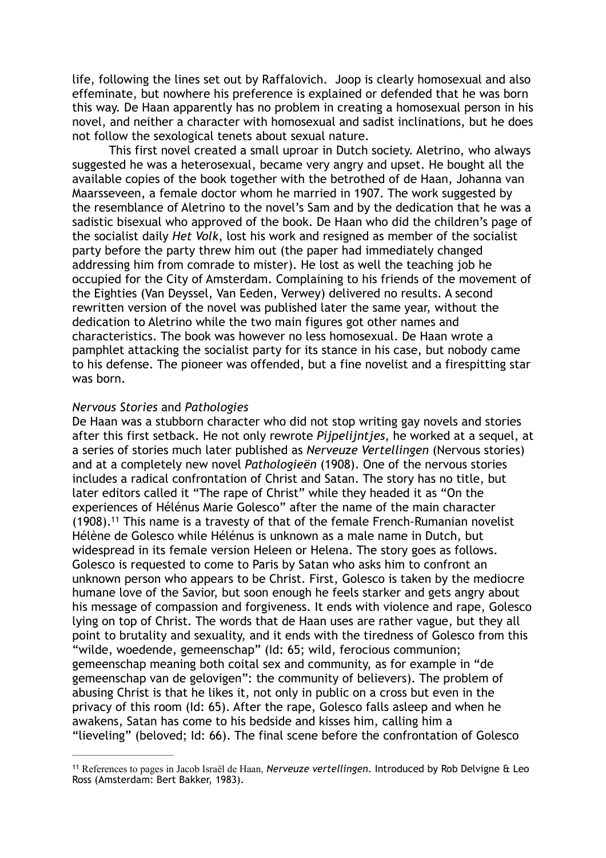life, following the lines set out by Raffalovich. Joop is clearly homosexual and also effeminate, but nowhere his preference is explained or defended that he was born this way. De Haan apparently has no problem in creating a homosexual person in his novel, and neither a character with homosexual and sadist inclinations, but he does not follow the sexological tenets about sexual nature.

This first novel created a small uproar in Dutch society. Aletrino, who always suggested he was a heterosexual, became very angry and upset. He bought all the available copies of the book together with the betrothed of de Haan, Johanna van Maarsseveen, a female doctor whom he married in 1907. The work suggested by the resemblance of Aletrino to the novel's Sam and by the dedication that he was a sadistic bisexual who approved of the book. De Haan who did the children's page of the socialist daily *Het Volk*, lost his work and resigned as member of the socialist party before the party threw him out (the paper had immediately changed addressing him from comrade to mister). He lost as well the teaching job he occupied for the City of Amsterdam. Complaining to his friends of the movement of the Eighties (Van Deyssel, Van Eeden, Verwey) delivered no results. A second rewritten version of the novel was published later the same year, without the dedication to Aletrino while the two main figures got other names and characteristics. The book was however no less homosexual. De Haan wrote a pamphlet attacking the socialist party for its stance in his case, but nobody came to his defense. The pioneer was offended, but a fine novelist and a firespitting star was born.

#### *Nervous Stories* and *Pathologies*

<span id="page-6-1"></span>De Haan was a stubborn character who did not stop writing gay novels and stories after this first setback. He not only rewrote *Pijpelijntjes*, he worked at a sequel, at a series of stories much later published as *Nerveuze Vertellingen* (Nervous stories) and at a completely new novel *Pathologieën* (1908). One of the nervous stories includes a radical confrontation of Christ and Satan. The story has no title, but later editors called it "The rape of Christ" while they headed it as "On the experiences of Hélénus Marie Golesco" after the name of the main character  $(1908).$ <sup>[11](#page-6-0)</sup> This name is a travesty of that of the female French-Rumanian novelist Hélène de Golesco while Hélénus is unknown as a male name in Dutch, but widespread in its female version Heleen or Helena. The story goes as follows. Golesco is requested to come to Paris by Satan who asks him to confront an unknown person who appears to be Christ. First, Golesco is taken by the mediocre humane love of the Savior, but soon enough he feels starker and gets angry about his message of compassion and forgiveness. It ends with violence and rape, Golesco lying on top of Christ. The words that de Haan uses are rather vague, but they all point to brutality and sexuality, and it ends with the tiredness of Golesco from this "wilde, woedende, gemeenschap" (Id: 65; wild, ferocious communion; gemeenschap meaning both coital sex and community, as for example in "de gemeenschap van de gelovigen": the community of believers). The problem of abusing Christ is that he likes it, not only in public on a cross but even in the privacy of this room (Id: 65). After the rape, Golesco falls asleep and when he awakens, Satan has come to his bedside and kisses him, calling him a "lieveling" (beloved; Id: 66). The final scene before the confrontation of Golesco

<span id="page-6-0"></span>References to pages in Jacob Israël de Haan, *Nerveuze vertellingen*. Introduced by Rob Delvigne & Leo [11](#page-6-1) Ross (Amsterdam: Bert Bakker, 1983).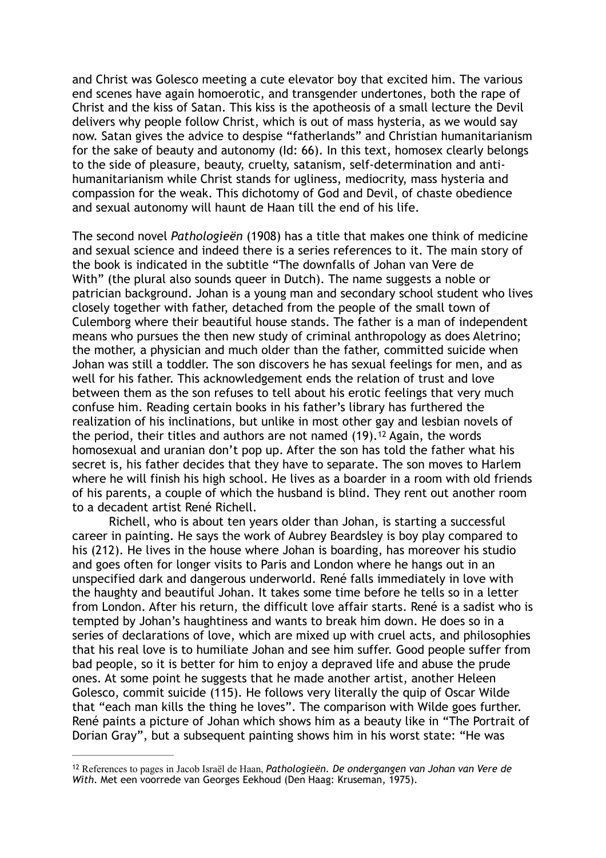and Christ was Golesco meeting a cute elevator boy that excited him. The various end scenes have again homoerotic, and transgender undertones, both the rape of Christ and the kiss of Satan. This kiss is the apotheosis of a small lecture the Devil delivers why people follow Christ, which is out of mass hysteria, as we would say now. Satan gives the advice to despise "fatherlands" and Christian humanitarianism for the sake of beauty and autonomy (Id: 66). In this text, homosex clearly belongs to the side of pleasure, beauty, cruelty, satanism, self-determination and antihumanitarianism while Christ stands for ugliness, mediocrity, mass hysteria and compassion for the weak. This dichotomy of God and Devil, of chaste obedience and sexual autonomy will haunt de Haan till the end of his life.

The second novel *Pathologieën* (1908) has a title that makes one think of medicine and sexual science and indeed there is a series references to it. The main story of the book is indicated in the subtitle "The downfalls of Johan van Vere de With" (the plural also sounds queer in Dutch). The name suggests a noble or patrician background. Johan is a young man and secondary school student who lives closely together with father, detached from the people of the small town of Culemborg where their beautiful house stands. The father is a man of independent means who pursues the then new study of criminal anthropology as does Aletrino; the mother, a physician and much older than the father, committed suicide when Johan was still a toddler. The son discovers he has sexual feelings for men, and as well for his father. This acknowledgement ends the relation of trust and love between them as the son refuses to tell about his erotic feelings that very much confuse him. Reading certain books in his father's library has furthered the realization of his inclinations, but unlike in most other gay and lesbian novels of the period, their titles and authors are not named  $(19)$ .<sup>[12](#page-7-0)</sup> Again, the words homosexual and uranian don't pop up. After the son has told the father what his secret is, his father decides that they have to separate. The son moves to Harlem where he will finish his high school. He lives as a boarder in a room with old friends of his parents, a couple of which the husband is blind. They rent out another room to a decadent artist René Richell.

<span id="page-7-1"></span>Richell, who is about ten years older than Johan, is starting a successful career in painting. He says the work of Aubrey Beardsley is boy play compared to his (212). He lives in the house where Johan is boarding, has moreover his studio and goes often for longer visits to Paris and London where he hangs out in an unspecified dark and dangerous underworld. René falls immediately in love with the haughty and beautiful Johan. It takes some time before he tells so in a letter from London. After his return, the difficult love affair starts. René is a sadist who is tempted by Johan's haughtiness and wants to break him down. He does so in a series of declarations of love, which are mixed up with cruel acts, and philosophies that his real love is to humiliate Johan and see him suffer. Good people suffer from bad people, so it is better for him to enjoy a depraved life and abuse the prude ones. At some point he suggests that he made another artist, another Heleen Golesco, commit suicide (115). He follows very literally the quip of Oscar Wilde that "each man kills the thing he loves". The comparison with Wilde goes further. René paints a picture of Johan which shows him as a beauty like in "The Portrait of Dorian Gray", but a subsequent painting shows him in his worst state: "He was

<span id="page-7-0"></span><sup>&</sup>lt;sup>[12](#page-7-1)</sup> References to pages in Jacob Israël de Haan, *Pathologieën. De ondergangen van Johan van Vere de With*. Met een voorrede van Georges Eekhoud (Den Haag: Kruseman, 1975).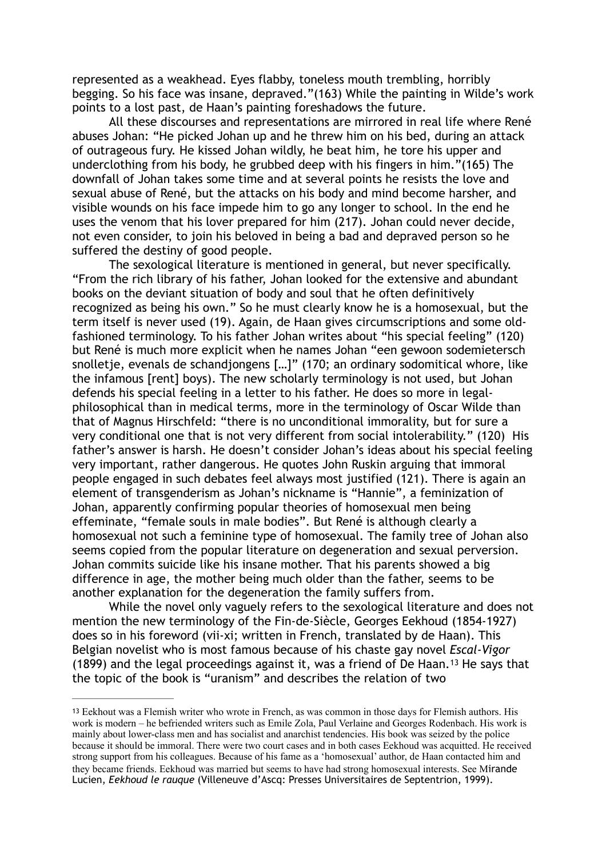represented as a weakhead. Eyes flabby, toneless mouth trembling, horribly begging. So his face was insane, depraved."(163) While the painting in Wilde's work points to a lost past, de Haan's painting foreshadows the future.

All these discourses and representations are mirrored in real life where René abuses Johan: "He picked Johan up and he threw him on his bed, during an attack of outrageous fury. He kissed Johan wildly, he beat him, he tore his upper and underclothing from his body, he grubbed deep with his fingers in him."(165) The downfall of Johan takes some time and at several points he resists the love and sexual abuse of René, but the attacks on his body and mind become harsher, and visible wounds on his face impede him to go any longer to school. In the end he uses the venom that his lover prepared for him (217). Johan could never decide, not even consider, to join his beloved in being a bad and depraved person so he suffered the destiny of good people.

The sexological literature is mentioned in general, but never specifically. "From the rich library of his father, Johan looked for the extensive and abundant books on the deviant situation of body and soul that he often definitively recognized as being his own." So he must clearly know he is a homosexual, but the term itself is never used (19). Again, de Haan gives circumscriptions and some oldfashioned terminology. To his father Johan writes about "his special feeling" (120) but René is much more explicit when he names Johan "een gewoon sodemietersch snolletje, evenals de schandjongens […]" (170; an ordinary sodomitical whore, like the infamous [rent] boys). The new scholarly terminology is not used, but Johan defends his special feeling in a letter to his father. He does so more in legalphilosophical than in medical terms, more in the terminology of Oscar Wilde than that of Magnus Hirschfeld: "there is no unconditional immorality, but for sure a very conditional one that is not very different from social intolerability." (120) His father's answer is harsh. He doesn't consider Johan's ideas about his special feeling very important, rather dangerous. He quotes John Ruskin arguing that immoral people engaged in such debates feel always most justified (121). There is again an element of transgenderism as Johan's nickname is "Hannie", a feminization of Johan, apparently confirming popular theories of homosexual men being effeminate, "female souls in male bodies". But René is although clearly a homosexual not such a feminine type of homosexual. The family tree of Johan also seems copied from the popular literature on degeneration and sexual perversion. Johan commits suicide like his insane mother. That his parents showed a big difference in age, the mother being much older than the father, seems to be another explanation for the degeneration the family suffers from.

While the novel only vaguely refers to the sexological literature and does not mention the new terminology of the Fin-de-Siècle, Georges Eekhoud (1854-1927) does so in his foreword (vii-xi; written in French, translated by de Haan). This Belgian novelist who is most famous because of his chaste gay novel *Escal-Vigor* (1899) and the legal proceedings against it, was a friend of De Haan.<sup>[13](#page-8-0)</sup> He says that the topic of the book is "uranism" and describes the relation of two

<span id="page-8-1"></span><span id="page-8-0"></span><sup>&</sup>lt;sup>[13](#page-8-1)</sup> Eekhout was a Flemish writer who wrote in French, as was common in those days for Flemish authors. His work is modern – he befriended writers such as Emile Zola, Paul Verlaine and Georges Rodenbach. His work is mainly about lower-class men and has socialist and anarchist tendencies. His book was seized by the police because it should be immoral. There were two court cases and in both cases Eekhoud was acquitted. He received strong support from his colleagues. Because of his fame as a 'homosexual' author, de Haan contacted him and they became friends. Eekhoud was married but seems to have had strong homosexual interests. See Mirande Lucien, *Eekhoud le rauque* (Villeneuve d'Ascq: Presses Universitaires de Septentrion, 1999).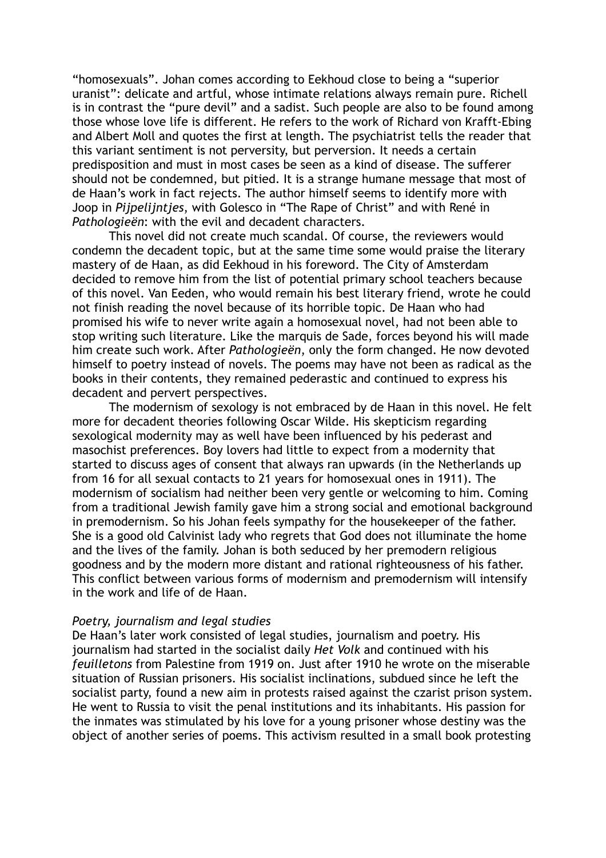"homosexuals". Johan comes according to Eekhoud close to being a "superior uranist": delicate and artful, whose intimate relations always remain pure. Richell is in contrast the "pure devil" and a sadist. Such people are also to be found among those whose love life is different. He refers to the work of Richard von Krafft-Ebing and Albert Moll and quotes the first at length. The psychiatrist tells the reader that this variant sentiment is not perversity, but perversion. It needs a certain predisposition and must in most cases be seen as a kind of disease. The sufferer should not be condemned, but pitied. It is a strange humane message that most of de Haan's work in fact rejects. The author himself seems to identify more with Joop in *Pijpelijntjes*, with Golesco in "The Rape of Christ" and with René in *Pathologieën*: with the evil and decadent characters.

This novel did not create much scandal. Of course, the reviewers would condemn the decadent topic, but at the same time some would praise the literary mastery of de Haan, as did Eekhoud in his foreword. The City of Amsterdam decided to remove him from the list of potential primary school teachers because of this novel. Van Eeden, who would remain his best literary friend, wrote he could not finish reading the novel because of its horrible topic. De Haan who had promised his wife to never write again a homosexual novel, had not been able to stop writing such literature. Like the marquis de Sade, forces beyond his will made him create such work. After *Pathologieën*, only the form changed. He now devoted himself to poetry instead of novels. The poems may have not been as radical as the books in their contents, they remained pederastic and continued to express his decadent and pervert perspectives.

The modernism of sexology is not embraced by de Haan in this novel. He felt more for decadent theories following Oscar Wilde. His skepticism regarding sexological modernity may as well have been influenced by his pederast and masochist preferences. Boy lovers had little to expect from a modernity that started to discuss ages of consent that always ran upwards (in the Netherlands up from 16 for all sexual contacts to 21 years for homosexual ones in 1911). The modernism of socialism had neither been very gentle or welcoming to him. Coming from a traditional Jewish family gave him a strong social and emotional background in premodernism. So his Johan feels sympathy for the housekeeper of the father. She is a good old Calvinist lady who regrets that God does not illuminate the home and the lives of the family. Johan is both seduced by her premodern religious goodness and by the modern more distant and rational righteousness of his father. This conflict between various forms of modernism and premodernism will intensify in the work and life of de Haan.

### *Poetry, journalism and legal studies*

De Haan's later work consisted of legal studies, journalism and poetry. His journalism had started in the socialist daily *Het Volk* and continued with his *feuilletons* from Palestine from 1919 on. Just after 1910 he wrote on the miserable situation of Russian prisoners. His socialist inclinations, subdued since he left the socialist party, found a new aim in protests raised against the czarist prison system. He went to Russia to visit the penal institutions and its inhabitants. His passion for the inmates was stimulated by his love for a young prisoner whose destiny was the object of another series of poems. This activism resulted in a small book protesting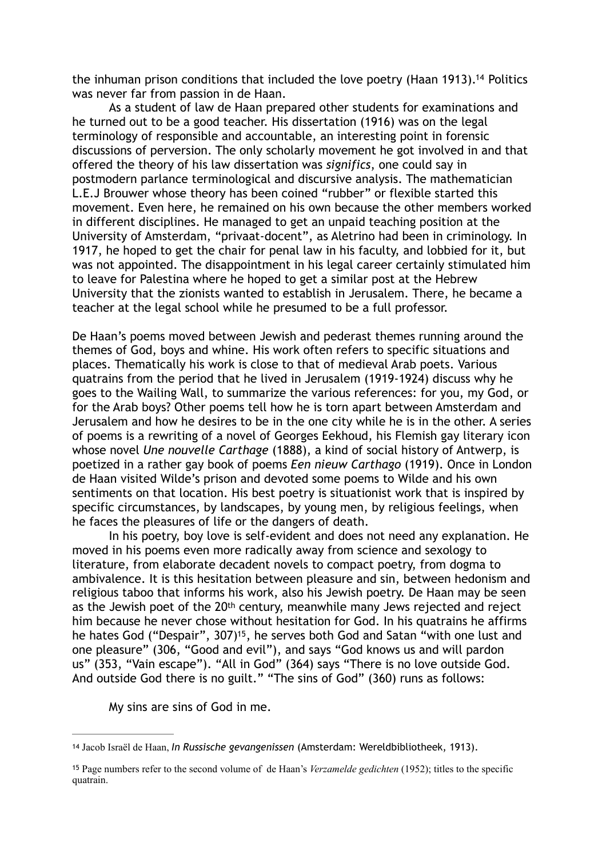<span id="page-10-2"></span>the inhuman prison conditions that included the love poetry (Haan 1913)[.](#page-10-0)<sup>[14](#page-10-0)</sup> Politics was never far from passion in de Haan.

As a student of law de Haan prepared other students for examinations and he turned out to be a good teacher. His dissertation (1916) was on the legal terminology of responsible and accountable, an interesting point in forensic discussions of perversion. The only scholarly movement he got involved in and that offered the theory of his law dissertation was *significs*, one could say in postmodern parlance terminological and discursive analysis. The mathematician L.E.J Brouwer whose theory has been coined "rubber" or flexible started this movement. Even here, he remained on his own because the other members worked in different disciplines. He managed to get an unpaid teaching position at the University of Amsterdam, "privaat-docent", as Aletrino had been in criminology. In 1917, he hoped to get the chair for penal law in his faculty, and lobbied for it, but was not appointed. The disappointment in his legal career certainly stimulated him to leave for Palestina where he hoped to get a similar post at the Hebrew University that the zionists wanted to establish in Jerusalem. There, he became a teacher at the legal school while he presumed to be a full professor.

De Haan's poems moved between Jewish and pederast themes running around the themes of God, boys and whine. His work often refers to specific situations and places. Thematically his work is close to that of medieval Arab poets. Various quatrains from the period that he lived in Jerusalem (1919-1924) discuss why he goes to the Wailing Wall, to summarize the various references: for you, my God, or for the Arab boys? Other poems tell how he is torn apart between Amsterdam and Jerusalem and how he desires to be in the one city while he is in the other. A series of poems is a rewriting of a novel of Georges Eekhoud, his Flemish gay literary icon whose novel *Une nouvelle Carthage* (1888), a kind of social history of Antwerp, is poetized in a rather gay book of poems *Een nieuw Carthago* (1919). Once in London de Haan visited Wilde's prison and devoted some poems to Wilde and his own sentiments on that location. His best poetry is situationist work that is inspired by specific circumstances, by landscapes, by young men, by religious feelings, when he faces the pleasures of life or the dangers of death.

 In his poetry, boy love is self-evident and does not need any explanation. He moved in his poems even more radically away from science and sexology to literature, from elaborate decadent novels to compact poetry, from dogma to ambivalence. It is this hesitation between pleasure and sin, between hedonism and religious taboo that informs his work, also his Jewish poetry. De Haan may be seen as the Jewish poet of the 20<sup>th</sup> century, meanwhile many Jews rejected and reject him because he never chose without hesitation for God. In his quatrains he affirms he hates God ("Despair"[,](#page-10-1) 307)<sup>[15](#page-10-1)</sup>, he serves both God and Satan "with one lust and one pleasure" (306, "Good and evil"), and says "God knows us and will pardon us" (353, "Vain escape"). "All in God" (364) says "There is no love outside God. And outside God there is no guilt." "The sins of God" (360) runs as follows:

<span id="page-10-3"></span>My sins are sins of God in me.

<span id="page-10-0"></span><sup>&</sup>lt;sup>[14](#page-10-2)</sup> Jacob Israël de Haan, *In Russische gevangenissen* (Amsterdam: Wereldbibliotheek, 1913).

<span id="page-10-1"></span><sup>&</sup>lt;sup>[15](#page-10-3)</sup> Page numbers refer to the second volume of de Haan's *Verzamelde gedichten* (1952); titles to the specific quatrain.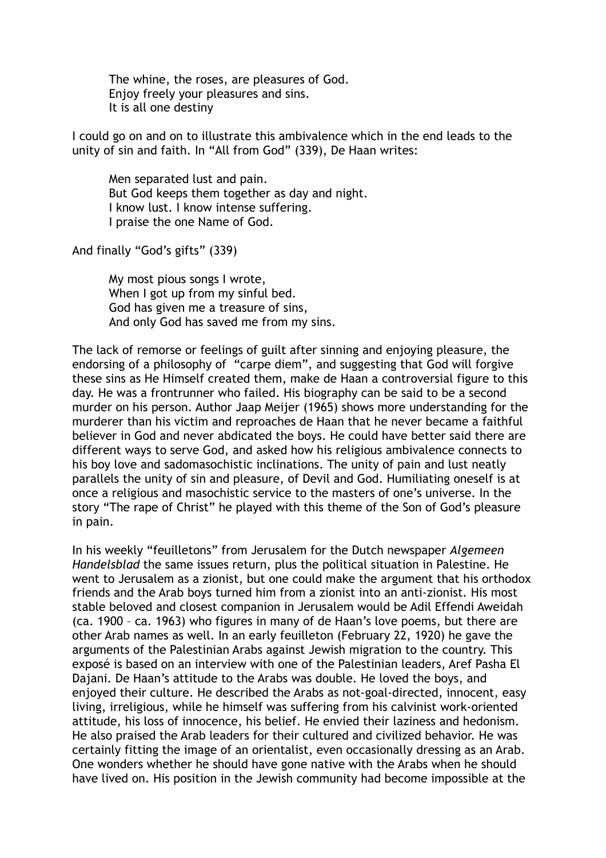The whine, the roses, are pleasures of God. Enjoy freely your pleasures and sins. It is all one destiny

I could go on and on to illustrate this ambivalence which in the end leads to the unity of sin and faith. In "All from God" (339), De Haan writes:

 Men separated lust and pain. But God keeps them together as day and night. I know lust. I know intense suffering. I praise the one Name of God.

And finally "God's gifts" (339)

 My most pious songs I wrote, When I got up from my sinful bed. God has given me a treasure of sins, And only God has saved me from my sins.

The lack of remorse or feelings of guilt after sinning and enjoying pleasure, the endorsing of a philosophy of "carpe diem", and suggesting that God will forgive these sins as He Himself created them, make de Haan a controversial figure to this day. He was a frontrunner who failed. His biography can be said to be a second murder on his person. Author Jaap Meijer (1965) shows more understanding for the murderer than his victim and reproaches de Haan that he never became a faithful believer in God and never abdicated the boys. He could have better said there are different ways to serve God, and asked how his religious ambivalence connects to his boy love and sadomasochistic inclinations. The unity of pain and lust neatly parallels the unity of sin and pleasure, of Devil and God. Humiliating oneself is at once a religious and masochistic service to the masters of one's universe. In the story "The rape of Christ" he played with this theme of the Son of God's pleasure in pain.

In his weekly "feuilletons" from Jerusalem for the Dutch newspaper *Algemeen Handelsblad* the same issues return, plus the political situation in Palestine. He went to Jerusalem as a zionist, but one could make the argument that his orthodox friends and the Arab boys turned him from a zionist into an anti-zionist. His most stable beloved and closest companion in Jerusalem would be Adil Effendi Aweidah (ca. 1900 – ca. 1963) who figures in many of de Haan's love poems, but there are other Arab names as well. In an early feuilleton (February 22, 1920) he gave the arguments of the Palestinian Arabs against Jewish migration to the country. This exposé is based on an interview with one of the Palestinian leaders, Aref Pasha El Dajani. De Haan's attitude to the Arabs was double. He loved the boys, and enjoyed their culture. He described the Arabs as not-goal-directed, innocent, easy living, irreligious, while he himself was suffering from his calvinist work-oriented attitude, his loss of innocence, his belief. He envied their laziness and hedonism. He also praised the Arab leaders for their cultured and civilized behavior. He was certainly fitting the image of an orientalist, even occasionally dressing as an Arab. One wonders whether he should have gone native with the Arabs when he should have lived on. His position in the Jewish community had become impossible at the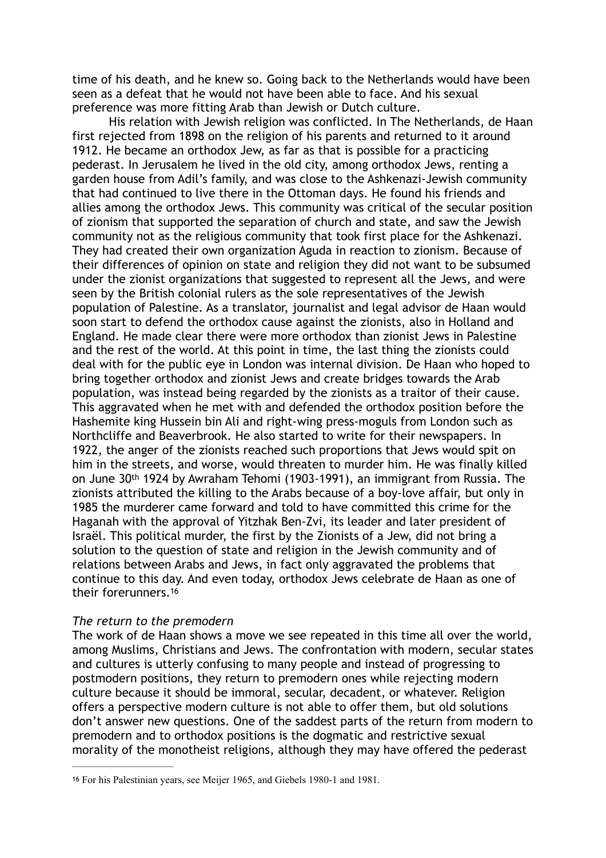time of his death, and he knew so. Going back to the Netherlands would have been seen as a defeat that he would not have been able to face. And his sexual preference was more fitting Arab than Jewish or Dutch culture.

His relation with Jewish religion was conflicted. In The Netherlands, de Haan first rejected from 1898 on the religion of his parents and returned to it around 1912. He became an orthodox Jew, as far as that is possible for a practicing pederast. In Jerusalem he lived in the old city, among orthodox Jews, renting a garden house from Adil's family, and was close to the Ashkenazi-Jewish community that had continued to live there in the Ottoman days. He found his friends and allies among the orthodox Jews. This community was critical of the secular position of zionism that supported the separation of church and state, and saw the Jewish community not as the religious community that took first place for the Ashkenazi. They had created their own organization Aguda in reaction to zionism. Because of their differences of opinion on state and religion they did not want to be subsumed under the zionist organizations that suggested to represent all the Jews, and were seen by the British colonial rulers as the sole representatives of the Jewish population of Palestine. As a translator, journalist and legal advisor de Haan would soon start to defend the orthodox cause against the zionists, also in Holland and England. He made clear there were more orthodox than zionist Jews in Palestine and the rest of the world. At this point in time, the last thing the zionists could deal with for the public eye in London was internal division. De Haan who hoped to bring together orthodox and zionist Jews and create bridges towards the Arab population, was instead being regarded by the zionists as a traitor of their cause. This aggravated when he met with and defended the orthodox position before the Hashemite king Hussein bin Ali and right-wing press-moguls from London such as Northcliffe and Beaverbrook. He also started to write for their newspapers. In 1922, the anger of the zionists reached such proportions that Jews would spit on him in the streets, and worse, would threaten to murder him. He was finally killed on June 30th 1924 by Awraham Tehomi (1903-1991), an immigrant from Russia. The zionists attributed the killing to the Arabs because of a boy-love affair, but only in 1985 the murderer came forward and told to have committed this crime for the Haganah with the approval of Yitzhak Ben-Zvi, its leader and later president of Israël. This political murder, the first by the Zionists of a Jew, did not bring a solution to the question of state and religion in the Jewish community and of relations between Arabs and Jews, in fact only aggravated the problems that continue to this day. And even today, orthodox Jews celebrate de Haan as one of their forerunners[.16](#page-12-0)

### <span id="page-12-1"></span>*The return to the premodern*

The work of de Haan shows a move we see repeated in this time all over the world, among Muslims, Christians and Jews. The confrontation with modern, secular states and cultures is utterly confusing to many people and instead of progressing to postmodern positions, they return to premodern ones while rejecting modern culture because it should be immoral, secular, decadent, or whatever. Religion offers a perspective modern culture is not able to offer them, but old solutions don't answer new questions. One of the saddest parts of the return from modern to premodern and to orthodox positions is the dogmatic and restrictive sexual morality of the monotheist religions, although they may have offered the pederast

<span id="page-12-0"></span>For his Palestinian years, see Meijer 1965, and Giebels 1980-1 and 1981. [16](#page-12-1)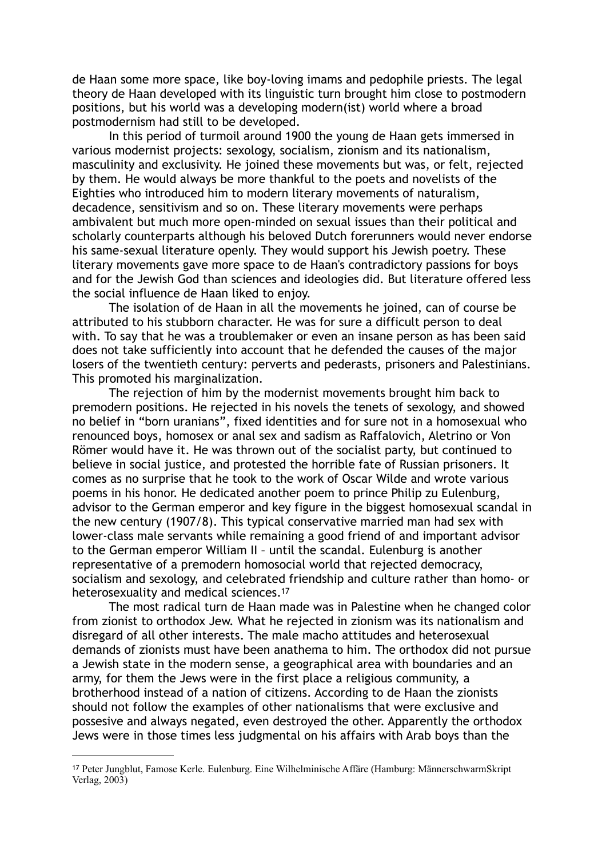de Haan some more space, like boy-loving imams and pedophile priests. The legal theory de Haan developed with its linguistic turn brought him close to postmodern positions, but his world was a developing modern(ist) world where a broad postmodernism had still to be developed.

In this period of turmoil around 1900 the young de Haan gets immersed in various modernist projects: sexology, socialism, zionism and its nationalism, masculinity and exclusivity. He joined these movements but was, or felt, rejected by them. He would always be more thankful to the poets and novelists of the Eighties who introduced him to modern literary movements of naturalism, decadence, sensitivism and so on. These literary movements were perhaps ambivalent but much more open-minded on sexual issues than their political and scholarly counterparts although his beloved Dutch forerunners would never endorse his same-sexual literature openly. They would support his Jewish poetry. These literary movements gave more space to de Haan's contradictory passions for boys and for the Jewish God than sciences and ideologies did. But literature offered less the social influence de Haan liked to enjoy.

The isolation of de Haan in all the movements he joined, can of course be attributed to his stubborn character. He was for sure a difficult person to deal with. To say that he was a troublemaker or even an insane person as has been said does not take sufficiently into account that he defended the causes of the major losers of the twentieth century: perverts and pederasts, prisoners and Palestinians. This promoted his marginalization.

The rejection of him by the modernist movements brought him back to premodern positions. He rejected in his novels the tenets of sexology, and showed no belief in "born uranians", fixed identities and for sure not in a homosexual who renounced boys, homosex or anal sex and sadism as Raffalovich, Aletrino or Von Römer would have it. He was thrown out of the socialist party, but continued to believe in social justice, and protested the horrible fate of Russian prisoners. It comes as no surprise that he took to the work of Oscar Wilde and wrote various poems in his honor. He dedicated another poem to prince Philip zu Eulenburg, advisor to the German emperor and key figure in the biggest homosexual scandal in the new century (1907/8). This typical conservative married man had sex with lower-class male servants while remaining a good friend of and important advisor to the German emperor William II – until the scandal. Eulenburg is another representative of a premodern homosocial world that rejected democracy, socialism and sexology, and celebrated friendship and culture rather than homo- or heterosexuality and medical sciences.<sup>17</sup>

<span id="page-13-1"></span>The most radical turn de Haan made was in Palestine when he changed color from zionist to orthodox Jew. What he rejected in zionism was its nationalism and disregard of all other interests. The male macho attitudes and heterosexual demands of zionists must have been anathema to him. The orthodox did not pursue a Jewish state in the modern sense, a geographical area with boundaries and an army, for them the Jews were in the first place a religious community, a brotherhood instead of a nation of citizens. According to de Haan the zionists should not follow the examples of other nationalisms that were exclusive and possesive and always negated, even destroyed the other. Apparently the orthodox Jews were in those times less judgmental on his affairs with Arab boys than the

<span id="page-13-0"></span>Peter Jungblut, Famose Kerle. Eulenburg. Eine Wilhelminische Affäre (Hamburg: MännerschwarmSkript [17](#page-13-1) Verlag, 2003)